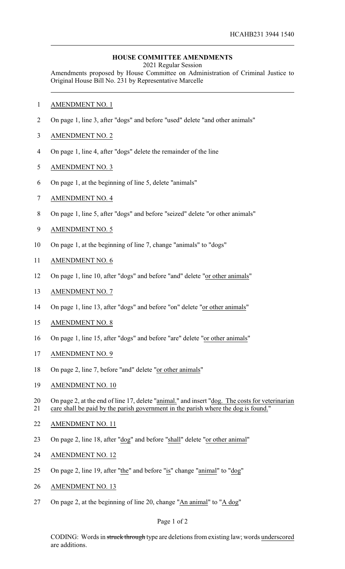## **HOUSE COMMITTEE AMENDMENTS**

2021 Regular Session

Amendments proposed by House Committee on Administration of Criminal Justice to Original House Bill No. 231 by Representative Marcelle

- AMENDMENT NO. 1
- On page 1, line 3, after "dogs" and before "used" delete "and other animals"
- AMENDMENT NO. 2
- On page 1, line 4, after "dogs" delete the remainder of the line
- AMENDMENT NO. 3
- On page 1, at the beginning of line 5, delete "animals"
- AMENDMENT NO. 4
- On page 1, line 5, after "dogs" and before "seized" delete "or other animals"
- AMENDMENT NO. 5
- On page 1, at the beginning of line 7, change "animals" to "dogs"
- AMENDMENT NO. 6
- On page 1, line 10, after "dogs" and before "and" delete "or other animals"
- AMENDMENT NO. 7
- On page 1, line 13, after "dogs" and before "on" delete "or other animals"
- AMENDMENT NO. 8
- On page 1, line 15, after "dogs" and before "are" delete "or other animals"
- AMENDMENT NO. 9
- On page 2, line 7, before "and" delete "or other animals"
- AMENDMENT NO. 10

20 On page 2, at the end of line 17, delete "animal." and insert "dog. The costs for veterinarian care shall be paid by the parish government in the parish where the dog is found."

- AMENDMENT NO. 11
- On page 2, line 18, after "dog" and before "shall" delete "or other animal"
- AMENDMENT NO. 12
- 25 On page 2, line 19, after "the" and before "is" change "animal" to "dog"
- AMENDMENT NO. 13
- On page 2, at the beginning of line 20, change "An animal" to "A dog"

## Page 1 of 2

CODING: Words in struck through type are deletions from existing law; words underscored are additions.